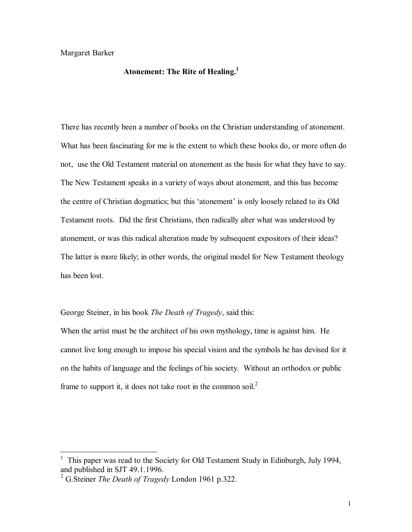## Margaret Barker

## **Atonement: The Rite of Healing.<sup>1</sup>**

There has recently been a number of books on the Christian understanding of atonement. What has been fascinating for me is the extent to which these books do, or more often do not, use the Old Testament material on atonement as the basis for what they have to say. The New Testament speaks in a variety of ways about atonement, and this has become the centre of Christian dogmatics; but this 'atonement' is only loosely related to its Old Testament roots. Did the first Christians, then radically alter what was understood by atonement, or was this radical alteration made by subsequent expositors of their ideas? The latter is more likely; in other words, the original model for New Testament theology has been lost.

## George Steiner, in his book *The Death of Tragedy*, said this:

When the artist must be the architect of his own mythology, time is against him. He cannot live long enough to impose his special vision and the symbols he has devised for it on the habits of language and the feelings of his society. Without an orthodox or public frame to support it, it does not take root in the common soil.<sup>2</sup>

 $\frac{1}{1}$  This paper was read to the Society for Old Testament Study in Edinburgh, July 1994, and published in SJT 49.1.1996.

<sup>2</sup> G.Steiner *The Death of Tragedy* London 1961 p.322.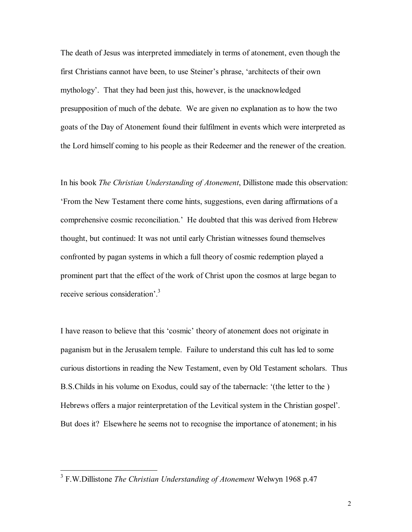The death of Jesus was interpreted immediately in terms of atonement, even though the first Christians cannot have been, to use Steiner's phrase, 'architects of their own mythology'. That they had been just this, however, is the unacknowledged presupposition of much of the debate. We are given no explanation as to how the two goats of the Day of Atonement found their fulfilment in events which were interpreted as the Lord himself coming to his people as their Redeemer and the renewer of the creation.

In his book *The Christian Understanding of Atonement*, Dillistone made this observation: 'From the New Testament there come hints, suggestions, even daring affirmations of a comprehensive cosmic reconciliation.' He doubted that this was derived from Hebrew thought, but continued: It was not until early Christian witnesses found themselves confronted by pagan systems in which a full theory of cosmic redemption played a prominent part that the effect of the work of Christ upon the cosmos at large began to receive serious consideration'.<sup>3</sup>

I have reason to believe that this 'cosmic' theory of atonement does not originate in paganism but in the Jerusalem temple. Failure to understand this cult has led to some curious distortions in reading the New Testament, even by Old Testament scholars. Thus B.S.Childs in his volume on Exodus, could say of the tabernacle: '(the letter to the ) Hebrews offers a major reinterpretation of the Levitical system in the Christian gospel'. But does it? Elsewhere he seems not to recognise the importance of atonement; in his

 3 F.W.Dillistone *The Christian Understanding of Atonement* Welwyn 1968 p.47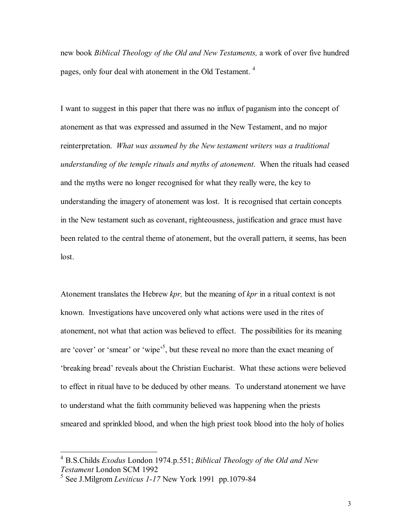new book *Biblical Theology of the Old and New Testaments,* a work of over five hundred pages, only four deal with atonement in the Old Testament.<sup>4</sup>

I want to suggest in this paper that there was no influx of paganism into the concept of atonement as that was expressed and assumed in the New Testament, and no major reinterpretation. *What was assumed by the New testament writers was a traditional understanding of the temple rituals and myths of atonement*. When the rituals had ceased and the myths were no longer recognised for what they really were, the key to understanding the imagery of atonement was lost. It is recognised that certain concepts in the New testament such as covenant, righteousness, justification and grace must have been related to the central theme of atonement, but the overall pattern, it seems, has been lost.

Atonement translates the Hebrew *kpr,* but the meaning of *kpr* in a ritual context is not known. Investigations have uncovered only what actions were used in the rites of atonement, not what that action was believed to effect. The possibilities for its meaning are 'cover' or 'smear' or 'wipe'<sup>5</sup>, but these reveal no more than the exact meaning of 'breaking bread' reveals about the Christian Eucharist. What these actions were believed to effect in ritual have to be deduced by other means. To understand atonement we have to understand what the faith community believed was happening when the priests smeared and sprinkled blood, and when the high priest took blood into the holy of holies

<sup>4</sup> B.S.Childs *Exodus* London 1974.p.551; *Biblical Theology of the Old and New Testament* London SCM 1992

<sup>5</sup> See J.Milgrom *Leviticus 1-17* New York 1991 pp.1079-84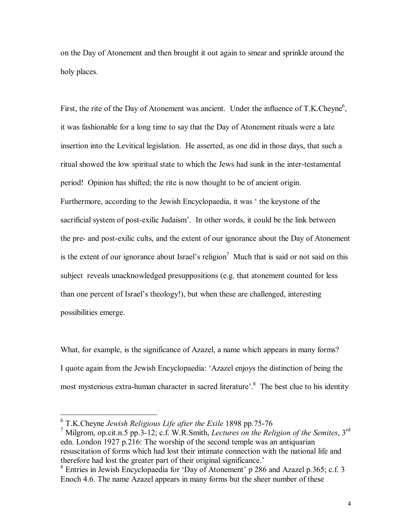on the Day of Atonement and then brought it out again to smear and sprinkle around the holy places.

First, the rite of the Day of Atonement was ancient. Under the influence of T.K.Cheyne<sup>6</sup>, it was fashionable for a long time to say that the Day of Atonement rituals were a late insertion into the Levitical legislation. He asserted, as one did in those days, that such a ritual showed the low spiritual state to which the Jews had sunk in the inter-testamental period! Opinion has shifted; the rite is now thought to be of ancient origin. Furthermore, according to the Jewish Encyclopaedia, it was ' the keystone of the sacrificial system of post-exilic Judaism'. In other words, it could be the link between the pre- and post-exilic cults, and the extent of our ignorance about the Day of Atonement is the extent of our ignorance about Israel's religion<sup>7</sup> Much that is said or not said on this subject reveals unacknowledged presuppositions (e.g. that atonement counted for less than one percent of Israel's theology!), but when these are challenged, interesting possibilities emerge.

What, for example, is the significance of Azazel, a name which appears in many forms? I quote again from the Jewish Encyclopaedia: 'Azazel enjoys the distinction of being the most mysterious extra-human character in sacred literature<sup>3</sup>.<sup>8</sup> The best clue to his identity

<sup>6</sup> T.K.Cheyne *Jewish Religious Life after the Exile* 1898 pp.75-76

<sup>7</sup> Milgrom, op.cit.n.5 pp.3-12; c.f. W.R.Smith, *Lectures on the Religion of the Semites*, 3rd edn. London 1927 p.216: The worship of the second temple was an antiquarian resuscitation of forms which had lost their intimate connection with the national life and therefore had lost the greater part of their original significance.'

<sup>&</sup>lt;sup>8</sup> Entries in Jewish Encyclopaedia for 'Day of Atonement' p 286 and Azazel p.365; c.f. 3 Enoch 4.6. The name Azazel appears in many forms but the sheer number of these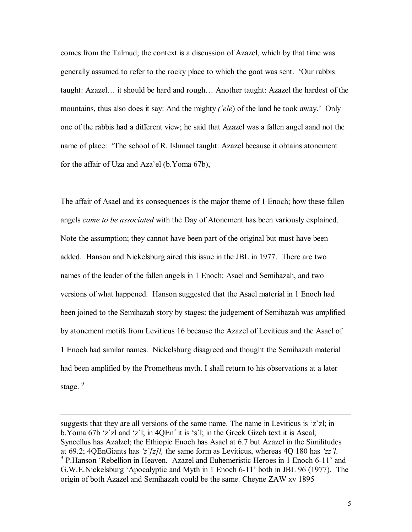comes from the Talmud; the context is a discussion of Azazel, which by that time was generally assumed to refer to the rocky place to which the goat was sent. 'Our rabbis taught: Azazel… it should be hard and rough… Another taught: Azazel the hardest of the mountains, thus also does it say: And the mighty *(`ele*) of the land he took away.' Only one of the rabbis had a different view; he said that Azazel was a fallen angel aand not the name of place: 'The school of R. Ishmael taught: Azazel because it obtains atonement for the affair of Uza and Aza`el (b.Yoma 67b),

The affair of Asael and its consequences is the major theme of 1 Enoch; how these fallen angels *came to be associated* with the Day of Atonement has been variously explained. Note the assumption; they cannot have been part of the original but must have been added. Hanson and Nickelsburg aired this issue in the JBL in 1977. There are two names of the leader of the fallen angels in 1 Enoch: Asael and Semihazah, and two versions of what happened. Hanson suggested that the Asael material in 1 Enoch had been joined to the Semihazah story by stages: the judgement of Semihazah was amplified by atonement motifs from Leviticus 16 because the Azazel of Leviticus and the Asael of 1 Enoch had similar names. Nickelsburg disagreed and thought the Semihazah material had been amplified by the Prometheus myth. I shall return to his observations at a later stage. $9$ 

suggests that they are all versions of the same name. The name in Leviticus is  $z'z'z'$ ; in b. Yoma 67b 'z'zl and 'z'l; in  $4QEn<sup>c</sup>$  it is 's'l; in the Greek Gizeh text it is Aseal; Syncellus has Azalzel; the Ethiopic Enoch has Asael at 6.7 but Azazel in the Similitudes at 69.2; 4QEnGiants has *'z`[z]l,* the same form as Leviticus, whereas 4Q 180 has *'zz`l*. <sup>9</sup> P. Hanson 'Rebellion in Heaven. Azazel and Euhemeristic Heroes in 1 Enoch 6-11' and G.W.E.Nickelsburg 'Apocalyptic and Myth in 1 Enoch 6-11' both in JBL 96 (1977). The origin of both Azazel and Semihazah could be the same. Cheyne ZAW xv 1895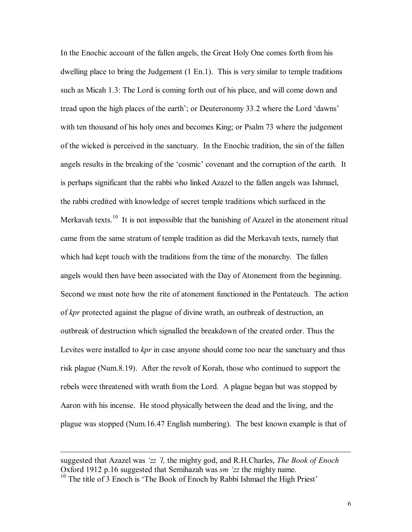In the Enochic account of the fallen angels, the Great Holy One comes forth from his dwelling place to bring the Judgement (1 En.1). This is very similar to temple traditions such as Micah 1.3: The Lord is coming forth out of his place, and will come down and tread upon the high places of the earth'; or Deuteronomy 33.2 where the Lord 'dawns' with ten thousand of his holy ones and becomes King; or Psalm 73 where the judgement of the wicked is perceived in the sanctuary. In the Enochic tradition, the sin of the fallen angels results in the breaking of the 'cosmic' covenant and the corruption of the earth. It is perhaps significant that the rabbi who linked Azazel to the fallen angels was Ishmael, the rabbi credited with knowledge of secret temple traditions which surfaced in the Merkavah texts.<sup>10</sup> It is not impossible that the banishing of Azazel in the atonement ritual came from the same stratum of temple tradition as did the Merkavah texts, namely that which had kept touch with the traditions from the time of the monarchy. The fallen angels would then have been associated with the Day of Atonement from the beginning. Second we must note how the rite of atonement functioned in the Pentateuch. The action of *kpr* protected against the plague of divine wrath, an outbreak of destruction, an outbreak of destruction which signalled the breakdown of the created order. Thus the Levites were installed to *kpr* in case anyone should come too near the sanctuary and thus risk plague (Num.8.19). After the revolt of Korah, those who continued to support the rebels were threatened with wrath from the Lord. A plague began but was stopped by Aaron with his incense. He stood physically between the dead and the living, and the plague was stopped (Num.16.47 English numbering). The best known example is that of

suggested that Azazel was *'zz `l,* the mighty god, and R.H.Charles, *The Book of Enoch* Oxford 1912 p.16 suggested that Semihazah was *sm 'zz* the mighty name.

<sup>&</sup>lt;sup>10</sup> The title of 3 Enoch is 'The Book of Enoch by Rabbi Ishmael the High Priest'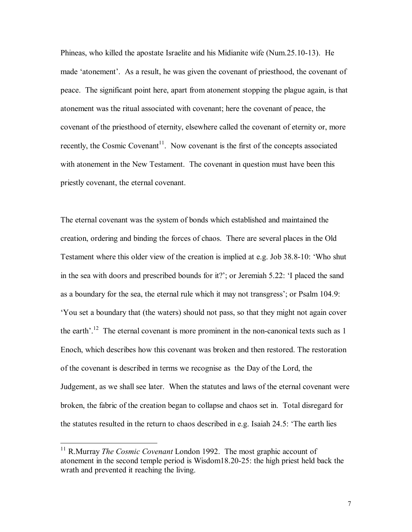Phineas, who killed the apostate Israelite and his Midianite wife (Num.25.10-13). He made 'atonement'. As a result, he was given the covenant of priesthood, the covenant of peace. The significant point here, apart from atonement stopping the plague again, is that atonement was the ritual associated with covenant; here the covenant of peace, the covenant of the priesthood of eternity, elsewhere called the covenant of eternity or, more recently, the Cosmic Covenant<sup>11</sup>. Now covenant is the first of the concepts associated with atonement in the New Testament. The covenant in question must have been this priestly covenant, the eternal covenant.

The eternal covenant was the system of bonds which established and maintained the creation, ordering and binding the forces of chaos. There are several places in the Old Testament where this older view of the creation is implied at e.g. Job 38.8-10: 'Who shut in the sea with doors and prescribed bounds for it?'; or Jeremiah 5.22: 'I placed the sand as a boundary for the sea, the eternal rule which it may not transgress'; or Psalm 104.9: 'You set a boundary that (the waters) should not pass, so that they might not again cover the earth'.<sup>12</sup> The eternal covenant is more prominent in the non-canonical texts such as 1 Enoch, which describes how this covenant was broken and then restored. The restoration of the covenant is described in terms we recognise as the Day of the Lord, the Judgement, as we shall see later. When the statutes and laws of the eternal covenant were broken, the fabric of the creation began to collapse and chaos set in. Total disregard for the statutes resulted in the return to chaos described in e.g. Isaiah 24.5: 'The earth lies

<sup>&</sup>lt;sup>11</sup> R.Murray *The Cosmic Covenant* London 1992. The most graphic account of atonement in the second temple period is Wisdom18.20-25: the high priest held back the wrath and prevented it reaching the living.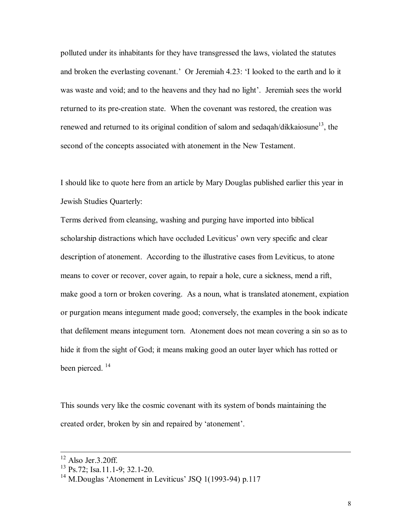polluted under its inhabitants for they have transgressed the laws, violated the statutes and broken the everlasting covenant.' Or Jeremiah 4.23: 'I looked to the earth and lo it was waste and void; and to the heavens and they had no light'. Jeremiah sees the world returned to its pre-creation state. When the covenant was restored, the creation was renewed and returned to its original condition of salom and sedaqah/dikkaiosune<sup>13</sup>, the second of the concepts associated with atonement in the New Testament.

I should like to quote here from an article by Mary Douglas published earlier this year in Jewish Studies Quarterly:

Terms derived from cleansing, washing and purging have imported into biblical scholarship distractions which have occluded Leviticus' own very specific and clear description of atonement. According to the illustrative cases from Leviticus, to atone means to cover or recover, cover again, to repair a hole, cure a sickness, mend a rift, make good a torn or broken covering. As a noun, what is translated atonement, expiation or purgation means integument made good; conversely, the examples in the book indicate that defilement means integument torn. Atonement does not mean covering a sin so as to hide it from the sight of God; it means making good an outer layer which has rotted or been pierced.<sup>14</sup>

This sounds very like the cosmic covenant with its system of bonds maintaining the created order, broken by sin and repaired by 'atonement'.

 $12$  Also Jer.3.20ff.

<sup>13</sup> Ps.72; Isa.11.1-9; 32.1-20.

<sup>&</sup>lt;sup>14</sup> M.Douglas 'Atonement in Leviticus' JSQ 1(1993-94) p.117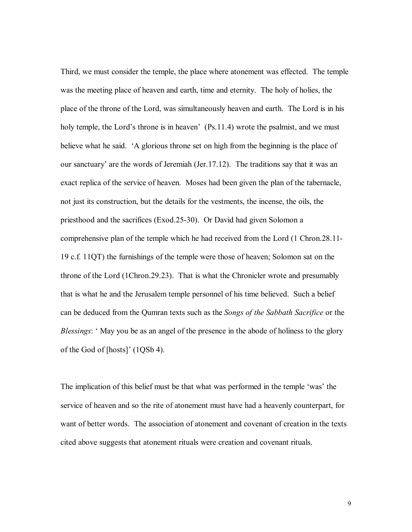Third, we must consider the temple, the place where atonement was effected. The temple was the meeting place of heaven and earth, time and eternity. The holy of holies, the place of the throne of the Lord, was simultaneously heaven and earth. The Lord is in his holy temple, the Lord's throne is in heaven' (Ps.11.4) wrote the psalmist, and we must believe what he said. 'A glorious throne set on high from the beginning is the place of our sanctuary' are the words of Jeremiah (Jer.17.12). The traditions say that it was an exact replica of the service of heaven. Moses had been given the plan of the tabernacle, not just its construction, but the details for the vestments, the incense, the oils, the priesthood and the sacrifices (Exod.25-30). Or David had given Solomon a comprehensive plan of the temple which he had received from the Lord (1 Chron.28.11- 19 c.f. 11QT) the furnishings of the temple were those of heaven; Solomon sat on the throne of the Lord (1Chron.29.23). That is what the Chronicler wrote and presumably that is what he and the Jerusalem temple personnel of his time believed. Such a belief can be deduced from the Qumran texts such as the *Songs of the Sabbath Sacrifice* or the *Blessings*: ' May you be as an angel of the presence in the abode of holiness to the glory of the God of [hosts]' (1QSb 4).

The implication of this belief must be that what was performed in the temple 'was' the service of heaven and so the rite of atonement must have had a heavenly counterpart, for want of better words. The association of atonement and covenant of creation in the texts cited above suggests that atonement rituals were creation and covenant rituals.

9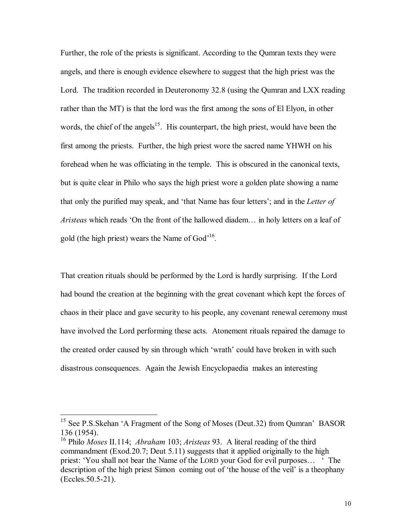Further, the role of the priests is significant. According to the Qumran texts they were angels, and there is enough evidence elsewhere to suggest that the high priest was the Lord. The tradition recorded in Deuteronomy 32.8 (using the Qumran and LXX reading rather than the MT) is that the lord was the first among the sons of El Elyon, in other words, the chief of the angels<sup>15</sup>. His counterpart, the high priest, would have been the first among the priests. Further, the high priest wore the sacred name YHWH on his forehead when he was officiating in the temple. This is obscured in the canonical texts, but is quite clear in Philo who says the high priest wore a golden plate showing a name that only the purified may speak, and 'that Name has four letters'; and in the *Letter of Aristeas* which reads 'On the front of the hallowed diadem… in holy letters on a leaf of gold (the high priest) wears the Name of God<sup>16</sup>.

That creation rituals should be performed by the Lord is hardly surprising. If the Lord had bound the creation at the beginning with the great covenant which kept the forces of chaos in their place and gave security to his people, any covenant renewal ceremony must have involved the Lord performing these acts. Atonement rituals repaired the damage to the created order caused by sin through which 'wrath' could have broken in with such disastrous consequences. Again the Jewish Encyclopaedia makes an interesting

<sup>&</sup>lt;sup>15</sup> See P.S.Skehan 'A Fragment of the Song of Moses (Deut.32) from Qumran' BASOR 136 (1954).

<sup>16</sup> Philo *Moses* II.114; *Abraham* 103; *Aristeas* 93. A literal reading of the third commandment (Exod.20.7; Deut 5.11) suggests that it applied originally to the high priest: 'You shall not bear the Name of the LORD your God for evil purposes… ' The description of the high priest Simon coming out of 'the house of the veil' is a theophany (Eccles.50.5-21).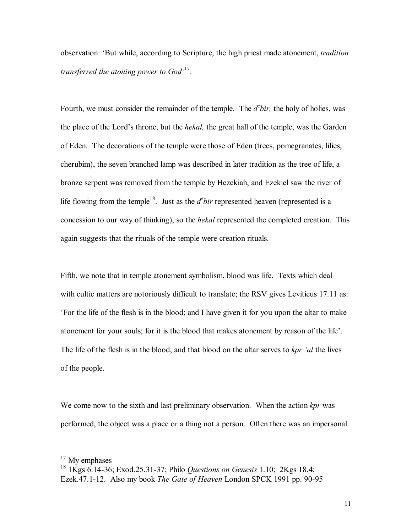observation: 'But while, according to Scripture, the high priest made atonement, *tradition transferred the atoning power to God'*<sup>17</sup> .

Fourth, we must consider the remainder of the temple. The  $d^e\text{bir}$ , the holy of holies, was the place of the Lord's throne, but the *hekal,* the great hall of the temple, was the Garden of Eden. The decorations of the temple were those of Eden (trees, pomegranates, lilies, cherubim), the seven branched lamp was described in later tradition as the tree of life, a bronze serpent was removed from the temple by Hezekiah, and Ezekiel saw the river of life flowing from the temple<sup>18</sup>. Just as the  $d^e$ *bir* represented heaven (represented is a concession to our way of thinking), so the *hekal* represented the completed creation. This again suggests that the rituals of the temple were creation rituals.

Fifth, we note that in temple atonement symbolism, blood was life. Texts which deal with cultic matters are notoriously difficult to translate; the RSV gives Leviticus 17.11 as: 'For the life of the flesh is in the blood; and I have given it for you upon the altar to make atonement for your souls; for it is the blood that makes atonement by reason of the life'. The life of the flesh is in the blood, and that blood on the altar serves to *kpr 'al* the lives of the people.

We come now to the sixth and last preliminary observation. When the action *kpr* was performed, the object was a place or a thing not a person. Often there was an impersonal

 $17$  My emphases

<sup>18</sup> 1Kgs 6.14-36; Exod.25.31-37; Philo *Questions on Genesis* 1.10; 2Kgs 18.4; Ezek.47.1-12. Also my book *The Gate of Heaven* London SPCK 1991 pp. 90-95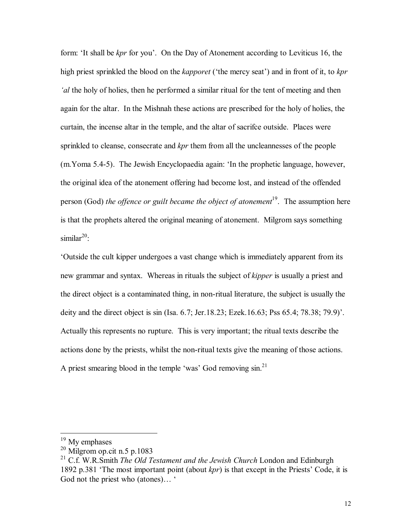form: 'It shall be *kpr* for you'. On the Day of Atonement according to Leviticus 16, the high priest sprinkled the blood on the *kapporet* ('the mercy seat') and in front of it, to *kpr 'al* the holy of holies, then he performed a similar ritual for the tent of meeting and then again for the altar. In the Mishnah these actions are prescribed for the holy of holies, the curtain, the incense altar in the temple, and the altar of sacrifce outside. Places were sprinkled to cleanse, consecrate and *kpr* them from all the uncleannesses of the people (m.Yoma 5.4-5). The Jewish Encyclopaedia again: 'In the prophetic language, however, the original idea of the atonement offering had become lost, and instead of the offended person (God) *the offence or guilt became the object of atonement*<sup>19</sup>. The assumption here is that the prophets altered the original meaning of atonement. Milgrom says something similar $20$ :

'Outside the cult kipper undergoes a vast change which is immediately apparent from its new grammar and syntax. Whereas in rituals the subject of *kipper* is usually a priest and the direct object is a contaminated thing, in non-ritual literature, the subject is usually the deity and the direct object is sin (Isa. 6.7; Jer.18.23; Ezek.16.63; Pss 65.4; 78.38; 79.9)'. Actually this represents no rupture. This is very important; the ritual texts describe the actions done by the priests, whilst the non-ritual texts give the meaning of those actions. A priest smearing blood in the temple 'was' God removing  $sin<sup>21</sup>$ 

<sup>&</sup>lt;sup>19</sup> My emphases

<sup>20</sup> Milgrom op.cit n.5 p.1083

<sup>21</sup> C.f. W.R.Smith *The Old Testament and the Jewish Church* London and Edinburgh 1892 p.381 'The most important point (about *kpr*) is that except in the Priests' Code, it is God not the priest who (atones)… '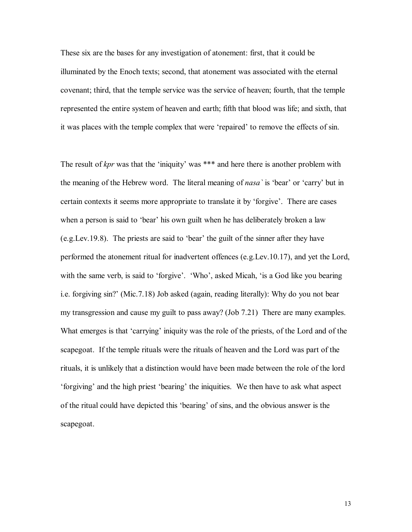These six are the bases for any investigation of atonement: first, that it could be illuminated by the Enoch texts; second, that atonement was associated with the eternal covenant; third, that the temple service was the service of heaven; fourth, that the temple represented the entire system of heaven and earth; fifth that blood was life; and sixth, that it was places with the temple complex that were 'repaired' to remove the effects of sin.

The result of *kpr* was that the 'iniquity' was \*\*\* and here there is another problem with the meaning of the Hebrew word. The literal meaning of *nasa`* is 'bear' or 'carry' but in certain contexts it seems more appropriate to translate it by 'forgive'. There are cases when a person is said to 'bear' his own guilt when he has deliberately broken a law (e.g.Lev.19.8). The priests are said to 'bear' the guilt of the sinner after they have performed the atonement ritual for inadvertent offences (e.g.Lev.10.17), and yet the Lord, with the same verb, is said to 'forgive'. 'Who', asked Micah, 'is a God like you bearing i.e. forgiving sin?' (Mic.7.18) Job asked (again, reading literally): Why do you not bear my transgression and cause my guilt to pass away? (Job 7.21) There are many examples. What emerges is that 'carrying' iniquity was the role of the priests, of the Lord and of the scapegoat. If the temple rituals were the rituals of heaven and the Lord was part of the rituals, it is unlikely that a distinction would have been made between the role of the lord 'forgiving' and the high priest 'bearing' the iniquities. We then have to ask what aspect of the ritual could have depicted this 'bearing' of sins, and the obvious answer is the scapegoat.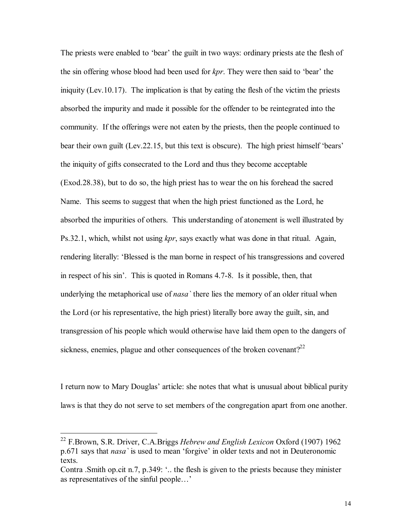The priests were enabled to 'bear' the guilt in two ways: ordinary priests ate the flesh of the sin offering whose blood had been used for *kpr*. They were then said to 'bear' the iniquity (Lev.10.17). The implication is that by eating the flesh of the victim the priests absorbed the impurity and made it possible for the offender to be reintegrated into the community. If the offerings were not eaten by the priests, then the people continued to bear their own guilt (Lev.22.15, but this text is obscure). The high priest himself 'bears' the iniquity of gifts consecrated to the Lord and thus they become acceptable (Exod.28.38), but to do so, the high priest has to wear the on his forehead the sacred Name. This seems to suggest that when the high priest functioned as the Lord, he absorbed the impurities of others. This understanding of atonement is well illustrated by Ps.32.1, which, whilst not using *kpr*, says exactly what was done in that ritual. Again, rendering literally: 'Blessed is the man borne in respect of his transgressions and covered in respect of his sin'. This is quoted in Romans 4.7-8. Is it possible, then, that underlying the metaphorical use of *nasa`* there lies the memory of an older ritual when the Lord (or his representative, the high priest) literally bore away the guilt, sin, and transgression of his people which would otherwise have laid them open to the dangers of sickness, enemies, plague and other consequences of the broken covenant?<sup>22</sup>

I return now to Mary Douglas' article: she notes that what is unusual about biblical purity laws is that they do not serve to set members of the congregation apart from one another.

<sup>22</sup> F.Brown, S.R. Driver, C.A.Briggs *Hebrew and English Lexicon* Oxford (1907) 1962 p.671 says that *nasa`* is used to mean 'forgive' in older texts and not in Deuteronomic texts.

Contra .Smith op.cit n.7, p.349: '.. the flesh is given to the priests because they minister as representatives of the sinful people…'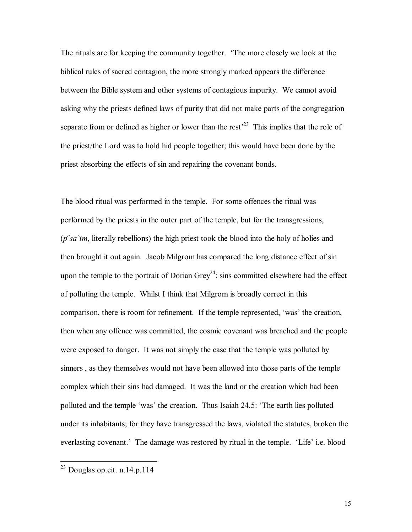The rituals are for keeping the community together. 'The more closely we look at the biblical rules of sacred contagion, the more strongly marked appears the difference between the Bible system and other systems of contagious impurity. We cannot avoid asking why the priests defined laws of purity that did not make parts of the congregation separate from or defined as higher or lower than the rest<sup> $23$ </sup> This implies that the role of the priest/the Lord was to hold hid people together; this would have been done by the priest absorbing the effects of sin and repairing the covenant bonds.

The blood ritual was performed in the temple. For some offences the ritual was performed by the priests in the outer part of the temple, but for the transgressions,  $(p<sup>e</sup>sa<sup>i</sup>im, literally rebellions)$  the high priest took the blood into the holy of holies and then brought it out again. Jacob Milgrom has compared the long distance effect of sin upon the temple to the portrait of Dorian Grey<sup>24</sup>; sins committed elsewhere had the effect of polluting the temple. Whilst I think that Milgrom is broadly correct in this comparison, there is room for refinement. If the temple represented, 'was' the creation, then when any offence was committed, the cosmic covenant was breached and the people were exposed to danger. It was not simply the case that the temple was polluted by sinners , as they themselves would not have been allowed into those parts of the temple complex which their sins had damaged. It was the land or the creation which had been polluted and the temple 'was' the creation. Thus Isaiah 24.5: 'The earth lies polluted under its inhabitants; for they have transgressed the laws, violated the statutes, broken the everlasting covenant.' The damage was restored by ritual in the temple. 'Life' i.e. blood

 $2<sup>23</sup>$  Douglas op.cit. n.14.p.114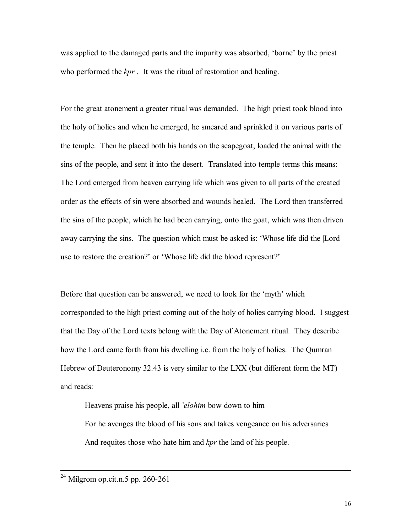was applied to the damaged parts and the impurity was absorbed, 'borne' by the priest who performed the *kpr*. It was the ritual of restoration and healing.

For the great atonement a greater ritual was demanded. The high priest took blood into the holy of holies and when he emerged, he smeared and sprinkled it on various parts of the temple. Then he placed both his hands on the scapegoat, loaded the animal with the sins of the people, and sent it into the desert. Translated into temple terms this means: The Lord emerged from heaven carrying life which was given to all parts of the created order as the effects of sin were absorbed and wounds healed. The Lord then transferred the sins of the people, which he had been carrying, onto the goat, which was then driven away carrying the sins. The question which must be asked is: 'Whose life did the |Lord use to restore the creation?' or 'Whose life did the blood represent?'

Before that question can be answered, we need to look for the 'myth' which corresponded to the high priest coming out of the holy of holies carrying blood. I suggest that the Day of the Lord texts belong with the Day of Atonement ritual. They describe how the Lord came forth from his dwelling i.e. from the holy of holies. The Qumran Hebrew of Deuteronomy 32.43 is very similar to the LXX (but different form the MT) and reads:

Heavens praise his people, all *`elohim* bow down to him For he avenges the blood of his sons and takes vengeance on his adversaries And requites those who hate him and *kpr* the land of his people.

 $2<sup>24</sup>$  Milgrom op.cit.n.5 pp. 260-261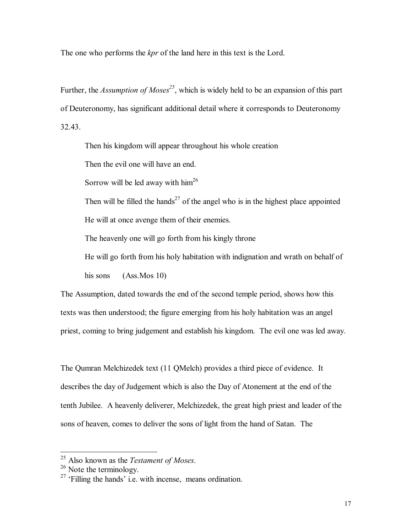The one who performs the *kpr* of the land here in this text is the Lord.

Further, the *Assumption of Moses<sup>25</sup>*, which is widely held to be an expansion of this part of Deuteronomy, has significant additional detail where it corresponds to Deuteronomy 32.43.

Then his kingdom will appear throughout his whole creation

Then the evil one will have an end.

Sorrow will be led away with  $\text{him}^{26}$ 

Then will be filled the hands<sup>27</sup> of the angel who is in the highest place appointed

He will at once avenge them of their enemies.

The heavenly one will go forth from his kingly throne

He will go forth from his holy habitation with indignation and wrath on behalf of

his sons (Ass.Mos 10)

The Assumption, dated towards the end of the second temple period, shows how this texts was then understood; the figure emerging from his holy habitation was an angel priest, coming to bring judgement and establish his kingdom. The evil one was led away.

The Qumran Melchizedek text (11 QMelch) provides a third piece of evidence. It describes the day of Judgement which is also the Day of Atonement at the end of the tenth Jubilee. A heavenly deliverer, Melchizedek, the great high priest and leader of the sons of heaven, comes to deliver the sons of light from the hand of Satan. The

<sup>25</sup> Also known as the *Testament of Moses*.

 $26$  Note the terminology.

 $27$  'Filling the hands' i.e. with incense, means ordination.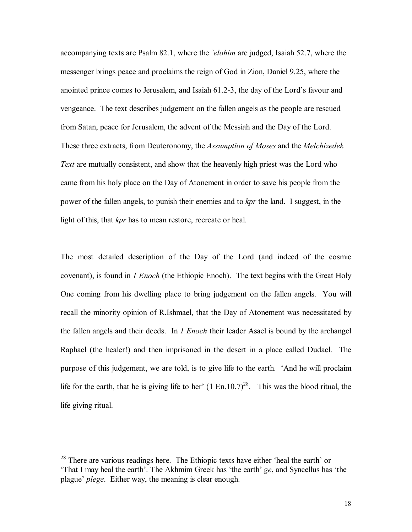accompanying texts are Psalm 82.1, where the *`elohim* are judged, Isaiah 52.7, where the messenger brings peace and proclaims the reign of God in Zion, Daniel 9.25, where the anointed prince comes to Jerusalem, and Isaiah 61.2-3, the day of the Lord's favour and vengeance. The text describes judgement on the fallen angels as the people are rescued from Satan, peace for Jerusalem, the advent of the Messiah and the Day of the Lord. These three extracts, from Deuteronomy, the *Assumption of Moses* and the *Melchizedek Text* are mutually consistent, and show that the heavenly high priest was the Lord who came from his holy place on the Day of Atonement in order to save his people from the power of the fallen angels, to punish their enemies and to *kpr* the land. I suggest, in the light of this, that *kpr* has to mean restore, recreate or heal.

The most detailed description of the Day of the Lord (and indeed of the cosmic covenant), is found in *1 Enoch* (the Ethiopic Enoch). The text begins with the Great Holy One coming from his dwelling place to bring judgement on the fallen angels. You will recall the minority opinion of R.Ishmael, that the Day of Atonement was necessitated by the fallen angels and their deeds. In *1 Enoch* their leader Asael is bound by the archangel Raphael (the healer!) and then imprisoned in the desert in a place called Dudael. The purpose of this judgement, we are told, is to give life to the earth. 'And he will proclaim life for the earth, that he is giving life to her'  $(1 \text{ En.10.7})^{28}$ . This was the blood ritual, the life giving ritual.

 $2<sup>28</sup>$  There are various readings here. The Ethiopic texts have either 'heal the earth' or 'That I may heal the earth'. The Akhmim Greek has 'the earth' *ge*, and Syncellus has 'the plague' *plege*. Either way, the meaning is clear enough.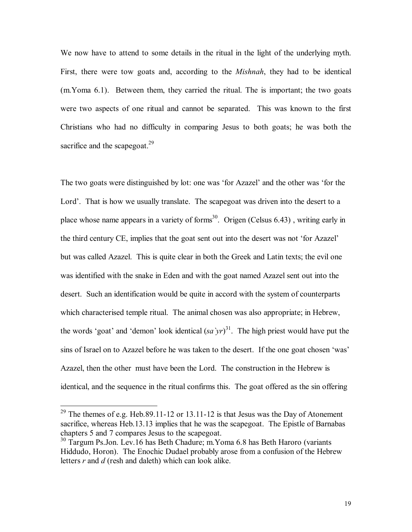We now have to attend to some details in the ritual in the light of the underlying myth. First, there were tow goats and, according to the *Mishnah*, they had to be identical (m.Yoma 6.1). Between them, they carried the ritual. The is important; the two goats were two aspects of one ritual and cannot be separated. This was known to the first Christians who had no difficulty in comparing Jesus to both goats; he was both the sacrifice and the scapegoat. $^{29}$ 

The two goats were distinguished by lot: one was 'for Azazel' and the other was 'for the Lord'. That is how we usually translate. The scapegoat was driven into the desert to a place whose name appears in a variety of forms<sup>30</sup>. Origen (Celsus  $6.43$ ), writing early in the third century CE, implies that the goat sent out into the desert was not 'for Azazel' but was called Azazel. This is quite clear in both the Greek and Latin texts; the evil one was identified with the snake in Eden and with the goat named Azazel sent out into the desert. Such an identification would be quite in accord with the system of counterparts which characterised temple ritual. The animal chosen was also appropriate; in Hebrew, the words 'goat' and 'demon' look identical  $(sa\gamma r)^{31}$ . The high priest would have put the sins of Israel on to Azazel before he was taken to the desert. If the one goat chosen 'was' Azazel, then the other must have been the Lord. The construction in the Hebrew is identical, and the sequence in the ritual confirms this. The goat offered as the sin offering

<sup>&</sup>lt;sup>29</sup> The themes of e.g. Heb.89.11-12 or 13.11-12 is that Jesus was the Day of Atonement sacrifice, whereas Heb.13.13 implies that he was the scapegoat. The Epistle of Barnabas chapters 5 and 7 compares Jesus to the scapegoat.

<sup>&</sup>lt;sup>30</sup> Targum Ps.Jon. Lev.16 has Beth Chadure; m.Yoma 6.8 has Beth Haroro (variants Hiddudo, Horon). The Enochic Dudael probably arose from a confusion of the Hebrew letters *r* and *d* (resh and daleth) which can look alike.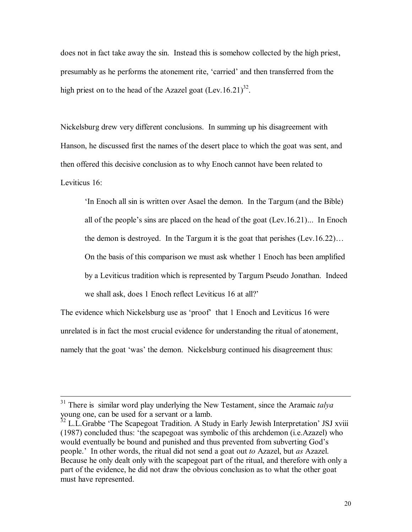does not in fact take away the sin. Instead this is somehow collected by the high priest, presumably as he performs the atonement rite, 'carried' and then transferred from the high priest on to the head of the Azazel goat  $(Lev.16.21)^{32}$ .

Nickelsburg drew very different conclusions. In summing up his disagreement with Hanson, he discussed first the names of the desert place to which the goat was sent, and then offered this decisive conclusion as to why Enoch cannot have been related to Leviticus 16<sup>-</sup>

'In Enoch all sin is written over Asael the demon. In the Targum (and the Bible) all of the people's sins are placed on the head of the goat (Lev.16.21)... In Enoch

the demon is destroyed. In the Targum it is the goat that perishes (Lev.16.22)…

On the basis of this comparison we must ask whether 1 Enoch has been amplified

by a Leviticus tradition which is represented by Targum Pseudo Jonathan. Indeed

we shall ask, does 1 Enoch reflect Leviticus 16 at all?'

 $\overline{a}$ 

The evidence which Nickelsburg use as 'proof' that 1 Enoch and Leviticus 16 were unrelated is in fact the most crucial evidence for understanding the ritual of atonement, namely that the goat 'was' the demon. Nickelsburg continued his disagreement thus:

<sup>31</sup> There is similar word play underlying the New Testament, since the Aramaic *talya* young one, can be used for a servant or a lamb.

 $32$  L.L.Grabbe 'The Scapegoat Tradition. A Study in Early Jewish Interpretation' JSJ xviii (1987) concluded thus: 'the scapegoat was symbolic of this archdemon (i.e.Azazel) who would eventually be bound and punished and thus prevented from subverting God's people.' In other words, the ritual did not send a goat out *to* Azazel, but *as* Azazel. Because he only dealt only with the scapegoat part of the ritual, and therefore with only a part of the evidence, he did not draw the obvious conclusion as to what the other goat must have represented.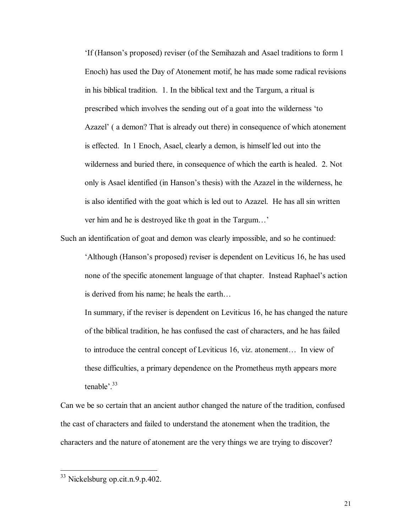'If (Hanson's proposed) reviser (of the Semihazah and Asael traditions to form 1 Enoch) has used the Day of Atonement motif, he has made some radical revisions in his biblical tradition. 1. In the biblical text and the Targum, a ritual is prescribed which involves the sending out of a goat into the wilderness 'to Azazel' ( a demon? That is already out there) in consequence of which atonement is effected. In 1 Enoch, Asael, clearly a demon, is himself led out into the wilderness and buried there, in consequence of which the earth is healed. 2. Not only is Asael identified (in Hanson's thesis) with the Azazel in the wilderness, he is also identified with the goat which is led out to Azazel. He has all sin written ver him and he is destroyed like th goat in the Targum…'

Such an identification of goat and demon was clearly impossible, and so he continued:

'Although (Hanson's proposed) reviser is dependent on Leviticus 16, he has used none of the specific atonement language of that chapter. Instead Raphael's action is derived from his name; he heals the earth…

In summary, if the reviser is dependent on Leviticus 16, he has changed the nature of the biblical tradition, he has confused the cast of characters, and he has failed to introduce the central concept of Leviticus 16, viz. atonement… In view of these difficulties, a primary dependence on the Prometheus myth appears more tenable $^{33}$ 

Can we be so certain that an ancient author changed the nature of the tradition, confused the cast of characters and failed to understand the atonement when the tradition, the characters and the nature of atonement are the very things we are trying to discover?

<sup>&</sup>lt;sup>33</sup> Nickelsburg op.cit.n.9.p.402.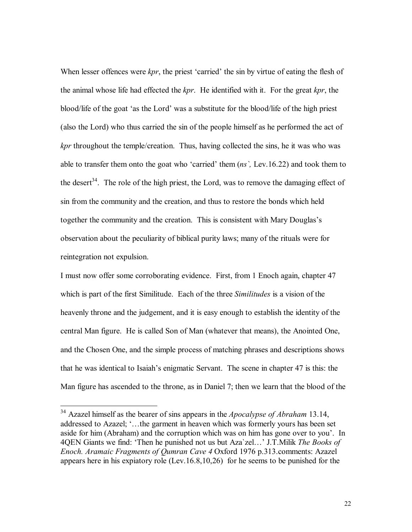When lesser offences were *kpr*, the priest 'carried' the sin by virtue of eating the flesh of the animal whose life had effected the *kpr*. He identified with it. For the great *kpr*, the blood/life of the goat 'as the Lord' was a substitute for the blood/life of the high priest (also the Lord) who thus carried the sin of the people himself as he performed the act of *kpr* throughout the temple/creation. Thus, having collected the sins, he it was who was able to transfer them onto the goat who 'carried' them (*ns`,* Lev.16.22) and took them to the desert<sup>34</sup>. The role of the high priest, the Lord, was to remove the damaging effect of sin from the community and the creation, and thus to restore the bonds which held together the community and the creation. This is consistent with Mary Douglas's observation about the peculiarity of biblical purity laws; many of the rituals were for reintegration not expulsion.

I must now offer some corroborating evidence. First, from 1 Enoch again, chapter 47 which is part of the first Similitude. Each of the three *Similitudes* is a vision of the heavenly throne and the judgement, and it is easy enough to establish the identity of the central Man figure. He is called Son of Man (whatever that means), the Anointed One, and the Chosen One, and the simple process of matching phrases and descriptions shows that he was identical to Isaiah's enigmatic Servant. The scene in chapter 47 is this: the Man figure has ascended to the throne, as in Daniel 7; then we learn that the blood of the

<sup>34</sup> Azazel himself as the bearer of sins appears in the *Apocalypse of Abraham* 13.14, addressed to Azazel; '…the garment in heaven which was formerly yours has been set aside for him (Abraham) and the corruption which was on him has gone over to you'. In 4QEN Giants we find: 'Then he punished not us but Aza`zel…' J.T.Milik *The Books of Enoch. Aramaic Fragments of Qumran Cave 4* Oxford 1976 p.313.comments: Azazel appears here in his expiatory role (Lev.16.8,10,26) for he seems to be punished for the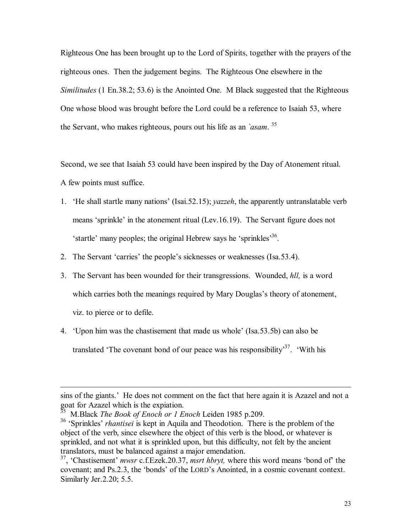Righteous One has been brought up to the Lord of Spirits, together with the prayers of the righteous ones. Then the judgement begins. The Righteous One elsewhere in the *Similitudes* (1 En.38.2; 53.6) is the Anointed One. M Black suggested that the Righteous One whose blood was brought before the Lord could be a reference to Isaiah 53, where the Servant, who makes righteous, pours out his life as an *`asam*. 35

Second, we see that Isaiah 53 could have been inspired by the Day of Atonement ritual. A few points must suffice.

- 1. 'He shall startle many nations' (Isai.52.15); *yazzeh*, the apparently untranslatable verb means 'sprinkle' in the atonement ritual (Lev.16.19). The Servant figure does not 'startle' many peoples; the original Hebrew says he 'sprinkles<sup>36</sup>.
- 2. The Servant 'carries' the people's sicknesses or weaknesses (Isa.53.4).
- 3. The Servant has been wounded for their transgressions. Wounded, *hll,* is a word which carries both the meanings required by Mary Douglas's theory of atonement, viz. to pierce or to defile.
- 4. 'Upon him was the chastisement that made us whole' (Isa.53.5b) can also be translated 'The covenant bond of our peace was his responsibility<sup>37</sup>. 'With his

sins of the giants.' He does not comment on the fact that here again it is Azazel and not a goat for Azazel which is the expiation.

<sup>35</sup> M.Black *The Book of Enoch or 1 Enoch* Leiden 1985 p.209.

<sup>&</sup>lt;sup>36</sup> 'Sprinkles' *rhantisei* is kept in Aquila and Theodotion. There is the problem of the object of the verb, since elsewhere the object of this verb is the blood, or whatever is sprinkled, and not what it is sprinkled upon, but this difficulty, not felt by the ancient translators, must be balanced against a major emendation.

<sup>37</sup>, 'Chastisement' *mwsr* c.f.Ezek.20.37, *msrt hbryt,* where this word means 'bond of' the covenant; and Ps.2.3, the 'bonds' of the LORD's Anointed, in a cosmic covenant context. Similarly Jer.2.20; 5.5.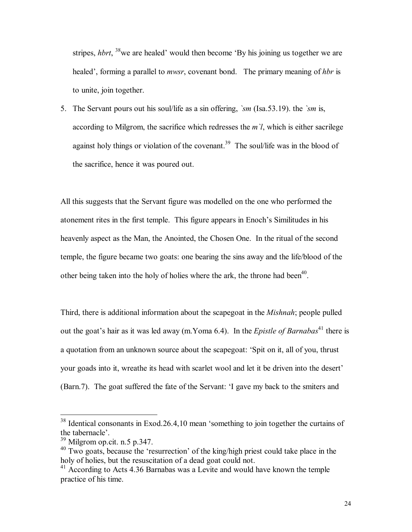stripes, *hbrt*, <sup>38</sup>we are healed' would then become 'By his joining us together we are healed', forming a parallel to *mwsr*, covenant bond. The primary meaning of *hbr* is to unite, join together.

5. The Servant pours out his soul/life as a sin offering, *`sm* (Isa.53.19). the *`sm* is, according to Milgrom, the sacrifice which redresses the *m`l*, which is either sacrilege against holy things or violation of the covenant.<sup>39</sup> The soul/life was in the blood of the sacrifice, hence it was poured out.

All this suggests that the Servant figure was modelled on the one who performed the atonement rites in the first temple. This figure appears in Enoch's Similitudes in his heavenly aspect as the Man, the Anointed, the Chosen One. In the ritual of the second temple, the figure became two goats: one bearing the sins away and the life/blood of the other being taken into the holy of holies where the ark, the throne had been<sup>40</sup>.

Third, there is additional information about the scapegoat in the *Mishnah*; people pulled out the goat's hair as it was led away (m.Yoma 6.4). In the *Epistle of Barnabas*<sup>41</sup> there is a quotation from an unknown source about the scapegoat: 'Spit on it, all of you, thrust your goads into it, wreathe its head with scarlet wool and let it be driven into the desert' (Barn.7). The goat suffered the fate of the Servant: 'I gave my back to the smiters and

 $38$  Identical consonants in Exod.26.4,10 mean 'something to join together the curtains of the tabernacle'.

<sup>39</sup> Milgrom op.cit. n.5 p.347.

<sup>&</sup>lt;sup>40</sup> Two goats, because the 'resurrection' of the king/high priest could take place in the holy of holies, but the resuscitation of a dead goat could not.

 $41$  According to Acts 4.36 Barnabas was a Levite and would have known the temple practice of his time.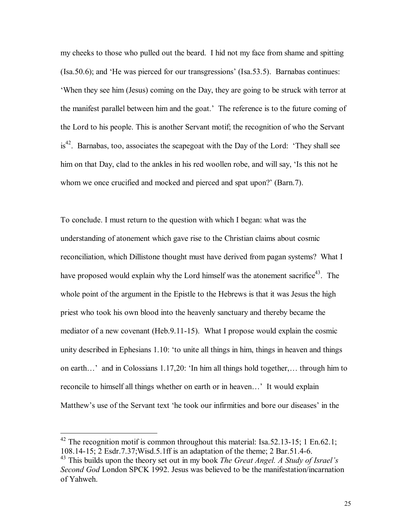my cheeks to those who pulled out the beard. I hid not my face from shame and spitting (Isa.50.6); and 'He was pierced for our transgressions' (Isa.53.5). Barnabas continues: 'When they see him (Jesus) coming on the Day, they are going to be struck with terror at the manifest parallel between him and the goat.' The reference is to the future coming of the Lord to his people. This is another Servant motif; the recognition of who the Servant is<sup>42</sup>. Barnabas, too, associates the scapegoat with the Day of the Lord: 'They shall see him on that Day, clad to the ankles in his red woollen robe, and will say, 'Is this not he whom we once crucified and mocked and pierced and spat upon?' (Barn. 7).

To conclude. I must return to the question with which I began: what was the understanding of atonement which gave rise to the Christian claims about cosmic reconciliation, which Dillistone thought must have derived from pagan systems? What I have proposed would explain why the Lord himself was the atonement sacrifice<sup>43</sup>. The whole point of the argument in the Epistle to the Hebrews is that it was Jesus the high priest who took his own blood into the heavenly sanctuary and thereby became the mediator of a new covenant (Heb.9.11-15). What I propose would explain the cosmic unity described in Ephesians 1.10: 'to unite all things in him, things in heaven and things on earth…' and in Colossians 1.17,20: 'In him all things hold together,… through him to reconcile to himself all things whether on earth or in heaven…' It would explain Matthew's use of the Servant text 'he took our infirmities and bore our diseases' in the

 $42$  The recognition motif is common throughout this material: Isa.52.13-15; 1 En.62.1; 108.14-15; 2 Esdr.7.37;Wisd.5.1ff is an adaptation of the theme; 2 Bar.51.4-6.

<sup>43</sup> This builds upon the theory set out in my book *The Great Angel. A Study of Israel's Second God* London SPCK 1992. Jesus was believed to be the manifestation/incarnation of Yahweh.